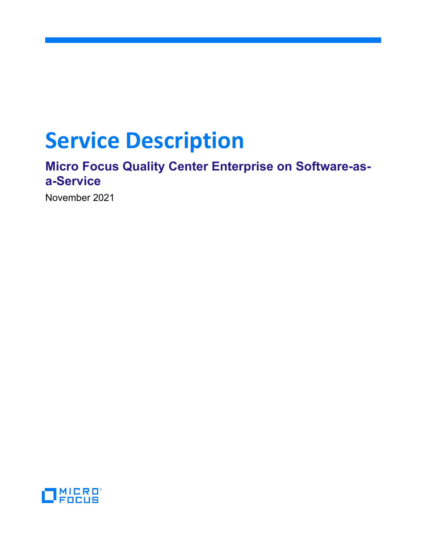# **Service Description**

## **Micro Focus Quality Center Enterprise on Software-asa-Service**

November 2021

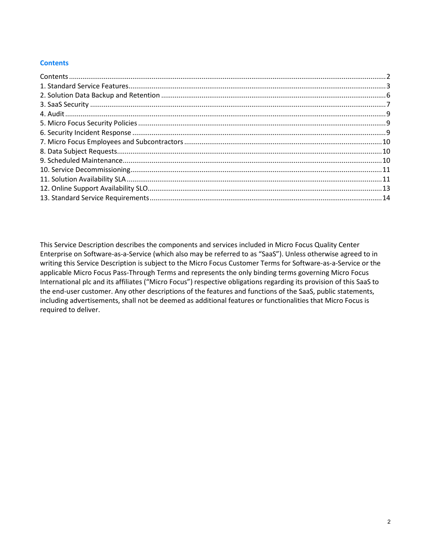## <span id="page-1-0"></span>**Contents**

This Service Description describes the components and services included in Micro Focus Quality Center Enterprise on Software-as-a-Service (which also may be referred to as "SaaS"). Unless otherwise agreed to in writing this Service Description is subject to the Micro Focus Customer Terms for Software-as-a-Service or the applicable Micro Focus Pass-Through Terms and represents the only binding terms governing Micro Focus International plc and its affiliates ("Micro Focus") respective obligations regarding its provision of this SaaS to the end-user customer. Any other descriptions of the features and functions of the SaaS, public statements, including advertisements, shall not be deemed as additional features or functionalities that Micro Focus is required to deliver.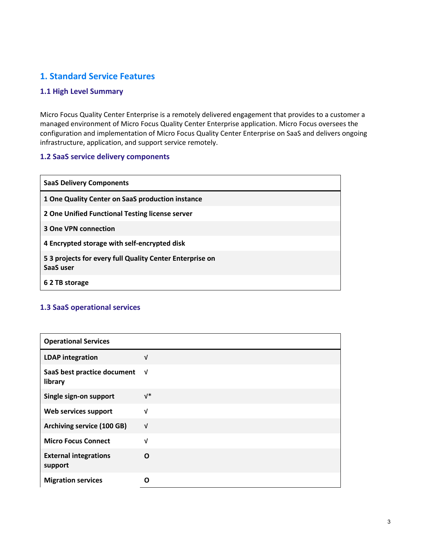## <span id="page-2-0"></span>**1. Standard Service Features**

## **1.1 High Level Summary**

Micro Focus Quality Center Enterprise is a remotely delivered engagement that provides to a customer a managed environment of Micro Focus Quality Center Enterprise application. Micro Focus oversees the configuration and implementation of Micro Focus Quality Center Enterprise on SaaS and delivers ongoing infrastructure, application, and support service remotely.

## **1.2 SaaS service delivery components**

| <b>SaaS Delivery Components</b>                                      |
|----------------------------------------------------------------------|
| 1 One Quality Center on SaaS production instance                     |
| 2 One Unified Functional Testing license server                      |
| <b>3 One VPN connection</b>                                          |
| 4 Encrypted storage with self-encrypted disk                         |
| 53 projects for every full Quality Center Enterprise on<br>SaaS user |
| 6 2 TB storage                                                       |

## **1.3 SaaS operational services**

| <b>Operational Services</b>             |            |
|-----------------------------------------|------------|
| <b>LDAP</b> integration                 | v          |
| SaaS best practice document<br>library  | √          |
| Single sign-on support                  | $V^*$      |
| Web services support                    | $\sqrt{ }$ |
| <b>Archiving service (100 GB)</b>       | $\sqrt{ }$ |
| <b>Micro Focus Connect</b>              | $\sqrt{ }$ |
| <b>External integrations</b><br>support | $\Omega$   |
| <b>Migration services</b>               | n          |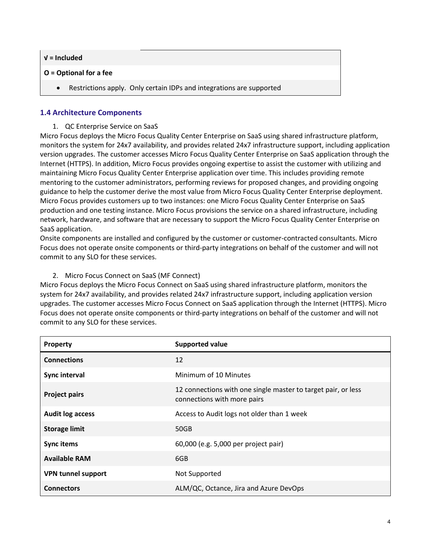| $V =$ Included |  |  |
|----------------|--|--|
|                |  |  |

## **O = Optional for a fee**

Restrictions apply. Only certain IDPs and integrations are supported

#### **1.4 Architecture Components**

1. QC Enterprise Service on SaaS

Micro Focus deploys the Micro Focus Quality Center Enterprise on SaaS using shared infrastructure platform, monitors the system for 24x7 availability, and provides related 24x7 infrastructure support, including application version upgrades. The customer accesses Micro Focus Quality Center Enterprise on SaaS application through the Internet (HTTPS). In addition, Micro Focus provides ongoing expertise to assist the customer with utilizing and maintaining Micro Focus Quality Center Enterprise application over time. This includes providing remote mentoring to the customer administrators, performing reviews for proposed changes, and providing ongoing guidance to help the customer derive the most value from Micro Focus Quality Center Enterprise deployment. Micro Focus provides customers up to two instances: one Micro Focus Quality Center Enterprise on SaaS production and one testing instance. Micro Focus provisions the service on a shared infrastructure, including network, hardware, and software that are necessary to support the Micro Focus Quality Center Enterprise on SaaS application.

Onsite components are installed and configured by the customer or customer-contracted consultants. Micro Focus does not operate onsite components or third-party integrations on behalf of the customer and will not commit to any SLO for these services.

#### 2. Micro Focus Connect on SaaS (MF Connect)

Micro Focus deploys the Micro Focus Connect on SaaS using shared infrastructure platform, monitors the system for 24x7 availability, and provides related 24x7 infrastructure support, including application version upgrades. The customer accesses Micro Focus Connect on SaaS application through the Internet (HTTPS). Micro Focus does not operate onsite components or third-party integrations on behalf of the customer and will not commit to any SLO for these services.

| Property                  | <b>Supported value</b>                                                                       |
|---------------------------|----------------------------------------------------------------------------------------------|
| <b>Connections</b>        | 12                                                                                           |
| Sync interval             | Minimum of 10 Minutes                                                                        |
| <b>Project pairs</b>      | 12 connections with one single master to target pair, or less<br>connections with more pairs |
| <b>Audit log access</b>   | Access to Audit logs not older than 1 week                                                   |
| <b>Storage limit</b>      | 50GB                                                                                         |
| <b>Sync items</b>         | 60,000 (e.g. 5,000 per project pair)                                                         |
| <b>Available RAM</b>      | 6GB                                                                                          |
| <b>VPN tunnel support</b> | Not Supported                                                                                |
| <b>Connectors</b>         | ALM/QC, Octance, Jira and Azure DevOps                                                       |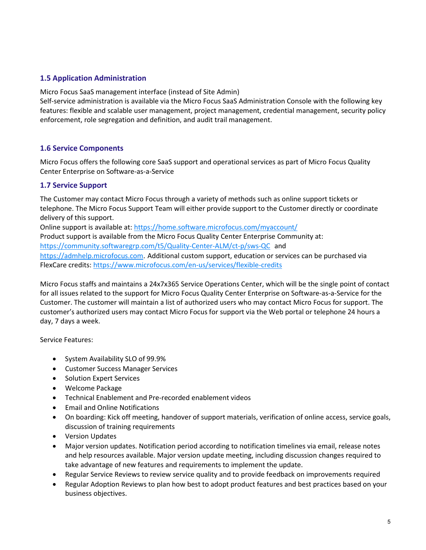## **1.5 Application Administration**

Micro Focus SaaS management interface (instead of Site Admin)

Self-service administration is available via the Micro Focus SaaS Administration Console with the following key features: flexible and scalable user management, project management, credential management, security policy enforcement, role segregation and definition, and audit trail management.

## **1.6 Service Components**

Micro Focus offers the following core SaaS support and operational services as part of Micro Focus Quality Center Enterprise on Software-as-a-Service

#### **1.7 Service Support**

The Customer may contact Micro Focus through a variety of methods such as online support tickets or telephone. The Micro Focus Support Team will either provide support to the Customer directly or coordinate delivery of this support.

Online support is available at: <https://home.software.microfocus.com/myaccount/> Product support is available from the Micro Focus Quality Center Enterprise Community at: <https://community.softwaregrp.com/t5/Quality-Center-ALM/ct-p/sws-QC> and [https://admhelp.microfocus.com](https://admhelp.microfocus.com/). Additional custom support, education or services can be purchased via FlexCare credits:<https://www.microfocus.com/en-us/services/flexible-credits>

Micro Focus staffs and maintains a 24x7x365 Service Operations Center, which will be the single point of contact for all issues related to the support for Micro Focus Quality Center Enterprise on Software-as-a-Service for the Customer. The customer will maintain a list of authorized users who may contact Micro Focus for support. The customer's authorized users may contact Micro Focus for support via the Web portal or telephone 24 hours a day, 7 days a week.

Service Features:

- System Availability SLO of 99.9%
- Customer Success Manager Services
- Solution Expert Services
- Welcome Package
- Technical Enablement and Pre-recorded enablement videos
- Email and Online Notifications
- On boarding: Kick off meeting, handover of support materials, verification of online access, service goals, discussion of training requirements
- Version Updates
- Major version updates. Notification period according to notification timelines via email, release notes and help resources available. Major version update meeting, including discussion changes required to take advantage of new features and requirements to implement the update.
- Regular Service Reviews to review service quality and to provide feedback on improvements required
- Regular Adoption Reviews to plan how best to adopt product features and best practices based on your business objectives.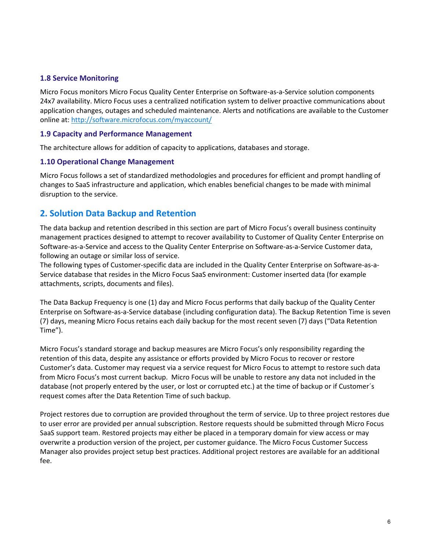## **1.8 Service Monitoring**

Micro Focus monitors Micro Focus Quality Center Enterprise on Software-as-a-Service solution components 24x7 availability. Micro Focus uses a centralized notification system to deliver proactive communications about application changes, outages and scheduled maintenance. Alerts and notifications are available to the Customer online at:<http://software.microfocus.com/myaccount/>

#### **1.9 Capacity and Performance Management**

The architecture allows for addition of capacity to applications, databases and storage.

#### **1.10 Operational Change Management**

Micro Focus follows a set of standardized methodologies and procedures for efficient and prompt handling of changes to SaaS infrastructure and application, which enables beneficial changes to be made with minimal disruption to the service.

## <span id="page-5-0"></span>**2. Solution Data Backup and Retention**

The data backup and retention described in this section are part of Micro Focus's overall business continuity management practices designed to attempt to recover availability to Customer of Quality Center Enterprise on Software-as-a-Service and access to the Quality Center Enterprise on Software-as-a-Service Customer data, following an outage or similar loss of service.

The following types of Customer-specific data are included in the Quality Center Enterprise on Software-as-a-Service database that resides in the Micro Focus SaaS environment: Customer inserted data (for example attachments, scripts, documents and files).

The Data Backup Frequency is one (1) day and Micro Focus performs that daily backup of the Quality Center Enterprise on Software-as-a-Service database (including configuration data). The Backup Retention Time is seven (7) days, meaning Micro Focus retains each daily backup for the most recent seven (7) days ("Data Retention Time").

Micro Focus's standard storage and backup measures are Micro Focus's only responsibility regarding the retention of this data, despite any assistance or efforts provided by Micro Focus to recover or restore Customer's data. Customer may request via a service request for Micro Focus to attempt to restore such data from Micro Focus's most current backup. Micro Focus will be unable to restore any data not included in the database (not properly entered by the user, or lost or corrupted etc.) at the time of backup or if Customer´s request comes after the Data Retention Time of such backup.

Project restores due to corruption are provided throughout the term of service. Up to three project restores due to user error are provided per annual subscription. Restore requests should be submitted through Micro Focus SaaS support team. Restored projects may either be placed in a temporary domain for view access or may overwrite a production version of the project, per customer guidance. The Micro Focus Customer Success Manager also provides project setup best practices. Additional project restores are available for an additional fee.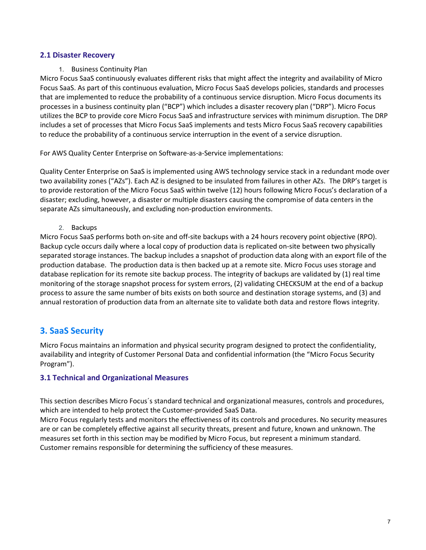#### **2.1 Disaster Recovery**

1. Business Continuity Plan

Micro Focus SaaS continuously evaluates different risks that might affect the integrity and availability of Micro Focus SaaS. As part of this continuous evaluation, Micro Focus SaaS develops policies, standards and processes that are implemented to reduce the probability of a continuous service disruption. Micro Focus documents its processes in a business continuity plan ("BCP") which includes a disaster recovery plan ("DRP"). Micro Focus utilizes the BCP to provide core Micro Focus SaaS and infrastructure services with minimum disruption. The DRP includes a set of processes that Micro Focus SaaS implements and tests Micro Focus SaaS recovery capabilities to reduce the probability of a continuous service interruption in the event of a service disruption.

For AWS Quality Center Enterprise on Software-as-a-Service implementations:

Quality Center Enterprise on SaaS is implemented using AWS technology service stack in a redundant mode over two availability zones ("AZs"). Each AZ is designed to be insulated from failures in other AZs. The DRP's target is to provide restoration of the Micro Focus SaaS within twelve (12) hours following Micro Focus's declaration of a disaster; excluding, however, a disaster or multiple disasters causing the compromise of data centers in the separate AZs simultaneously, and excluding non-production environments.

#### 2. Backups

Micro Focus SaaS performs both on-site and off-site backups with a 24 hours recovery point objective (RPO). Backup cycle occurs daily where a local copy of production data is replicated on-site between two physically separated storage instances. The backup includes a snapshot of production data along with an export file of the production database. The production data is then backed up at a remote site. Micro Focus uses storage and database replication for its remote site backup process. The integrity of backups are validated by (1) real time monitoring of the storage snapshot process for system errors, (2) validating CHECKSUM at the end of a backup process to assure the same number of bits exists on both source and destination storage systems, and (3) and annual restoration of production data from an alternate site to validate both data and restore flows integrity.

## <span id="page-6-0"></span>**3. SaaS Security**

Micro Focus maintains an information and physical security program designed to protect the confidentiality, availability and integrity of Customer Personal Data and confidential information (the "Micro Focus Security Program").

## **3.1 Technical and Organizational Measures**

This section describes Micro Focus´s standard technical and organizational measures, controls and procedures, which are intended to help protect the Customer-provided SaaS Data.

Micro Focus regularly tests and monitors the effectiveness of its controls and procedures. No security measures are or can be completely effective against all security threats, present and future, known and unknown. The measures set forth in this section may be modified by Micro Focus, but represent a minimum standard. Customer remains responsible for determining the sufficiency of these measures.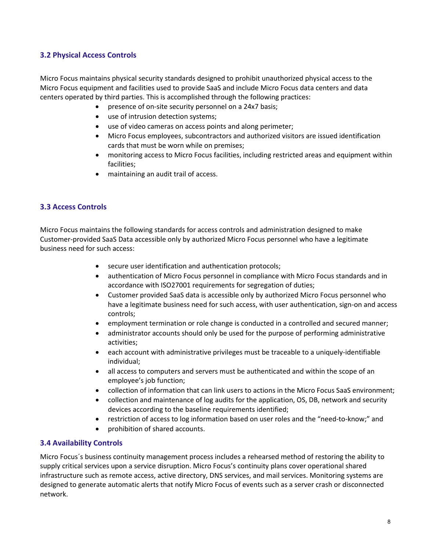## **3.2 Physical Access Controls**

Micro Focus maintains physical security standards designed to prohibit unauthorized physical access to the Micro Focus equipment and facilities used to provide SaaS and include Micro Focus data centers and data centers operated by third parties. This is accomplished through the following practices:

- presence of on-site security personnel on a 24x7 basis;
- use of intrusion detection systems;
- use of video cameras on access points and along perimeter;
- Micro Focus employees, subcontractors and authorized visitors are issued identification cards that must be worn while on premises;
- monitoring access to Micro Focus facilities, including restricted areas and equipment within facilities;
- maintaining an audit trail of access.

## **3.3 Access Controls**

Micro Focus maintains the following standards for access controls and administration designed to make Customer-provided SaaS Data accessible only by authorized Micro Focus personnel who have a legitimate business need for such access:

- secure user identification and authentication protocols;
- authentication of Micro Focus personnel in compliance with Micro Focus standards and in accordance with ISO27001 requirements for segregation of duties;
- Customer provided SaaS data is accessible only by authorized Micro Focus personnel who have a legitimate business need for such access, with user authentication, sign-on and access controls;
- employment termination or role change is conducted in a controlled and secured manner;
- administrator accounts should only be used for the purpose of performing administrative activities;
- each account with administrative privileges must be traceable to a uniquely-identifiable individual;
- all access to computers and servers must be authenticated and within the scope of an employee's job function;
- collection of information that can link users to actions in the Micro Focus SaaS environment;
- collection and maintenance of log audits for the application, OS, DB, network and security devices according to the baseline requirements identified;
- restriction of access to log information based on user roles and the "need-to-know;" and
- prohibition of shared accounts.

## **3.4 Availability Controls**

Micro Focus´s business continuity management process includes a rehearsed method of restoring the ability to supply critical services upon a service disruption. Micro Focus's continuity plans cover operational shared infrastructure such as remote access, active directory, DNS services, and mail services. Monitoring systems are designed to generate automatic alerts that notify Micro Focus of events such as a server crash or disconnected network.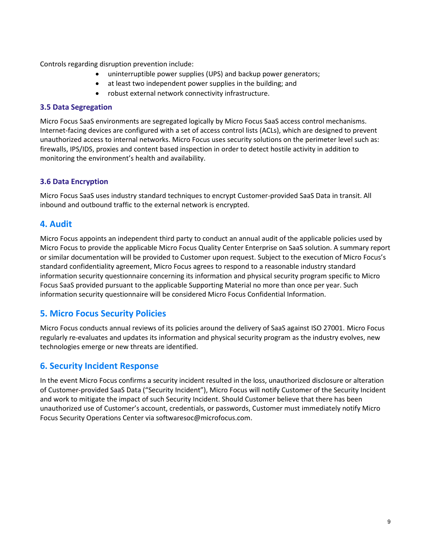Controls regarding disruption prevention include:

- uninterruptible power supplies (UPS) and backup power generators;
- at least two independent power supplies in the building; and
- robust external network connectivity infrastructure.

#### **3.5 Data Segregation**

Micro Focus SaaS environments are segregated logically by Micro Focus SaaS access control mechanisms. Internet-facing devices are configured with a set of access control lists (ACLs), which are designed to prevent unauthorized access to internal networks. Micro Focus uses security solutions on the perimeter level such as: firewalls, IPS/IDS, proxies and content based inspection in order to detect hostile activity in addition to monitoring the environment's health and availability.

## **3.6 Data Encryption**

Micro Focus SaaS uses industry standard techniques to encrypt Customer-provided SaaS Data in transit. All inbound and outbound traffic to the external network is encrypted.

## <span id="page-8-0"></span>**4. Audit**

Micro Focus appoints an independent third party to conduct an annual audit of the applicable policies used by Micro Focus to provide the applicable Micro Focus Quality Center Enterprise on SaaS solution. A summary report or similar documentation will be provided to Customer upon request. Subject to the execution of Micro Focus's standard confidentiality agreement, Micro Focus agrees to respond to a reasonable industry standard information security questionnaire concerning its information and physical security program specific to Micro Focus SaaS provided pursuant to the applicable Supporting Material no more than once per year. Such information security questionnaire will be considered Micro Focus Confidential Information.

## <span id="page-8-1"></span>**5. Micro Focus Security Policies**

Micro Focus conducts annual reviews of its policies around the delivery of SaaS against ISO 27001. Micro Focus regularly re-evaluates and updates its information and physical security program as the industry evolves, new technologies emerge or new threats are identified.

## <span id="page-8-2"></span>**6. Security Incident Response**

In the event Micro Focus confirms a security incident resulted in the loss, unauthorized disclosure or alteration of Customer-provided SaaS Data ("Security Incident"), Micro Focus will notify Customer of the Security Incident and work to mitigate the impact of such Security Incident. Should Customer believe that there has been unauthorized use of Customer's account, credentials, or passwords, Customer must immediately notify Micro Focus Security Operations Center via softwaresoc@microfocus.com.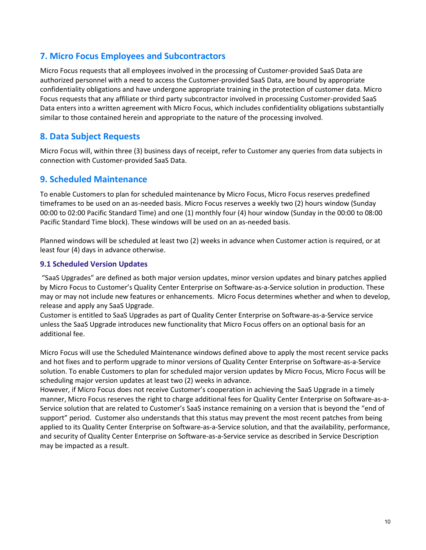## <span id="page-9-0"></span>**7. Micro Focus Employees and Subcontractors**

Micro Focus requests that all employees involved in the processing of Customer-provided SaaS Data are authorized personnel with a need to access the Customer-provided SaaS Data, are bound by appropriate confidentiality obligations and have undergone appropriate training in the protection of customer data. Micro Focus requests that any affiliate or third party subcontractor involved in processing Customer-provided SaaS Data enters into a written agreement with Micro Focus, which includes confidentiality obligations substantially similar to those contained herein and appropriate to the nature of the processing involved.

## <span id="page-9-1"></span>**8. Data Subject Requests**

Micro Focus will, within three (3) business days of receipt, refer to Customer any queries from data subjects in connection with Customer-provided SaaS Data.

## <span id="page-9-2"></span>**9. Scheduled Maintenance**

To enable Customers to plan for scheduled maintenance by Micro Focus, Micro Focus reserves predefined timeframes to be used on an as-needed basis. Micro Focus reserves a weekly two (2) hours window (Sunday 00:00 to 02:00 Pacific Standard Time) and one (1) monthly four (4) hour window (Sunday in the 00:00 to 08:00 Pacific Standard Time block). These windows will be used on an as-needed basis.

Planned windows will be scheduled at least two (2) weeks in advance when Customer action is required, or at least four (4) days in advance otherwise.

## **9.1 Scheduled Version Updates**

"SaaS Upgrades" are defined as both major version updates, minor version updates and binary patches applied by Micro Focus to Customer's Quality Center Enterprise on Software-as-a-Service solution in production. These may or may not include new features or enhancements. Micro Focus determines whether and when to develop, release and apply any SaaS Upgrade.

Customer is entitled to SaaS Upgrades as part of Quality Center Enterprise on Software-as-a-Service service unless the SaaS Upgrade introduces new functionality that Micro Focus offers on an optional basis for an additional fee.

Micro Focus will use the Scheduled Maintenance windows defined above to apply the most recent service packs and hot fixes and to perform upgrade to minor versions of Quality Center Enterprise on Software-as-a-Service solution. To enable Customers to plan for scheduled major version updates by Micro Focus, Micro Focus will be scheduling major version updates at least two (2) weeks in advance.

However, if Micro Focus does not receive Customer's cooperation in achieving the SaaS Upgrade in a timely manner, Micro Focus reserves the right to charge additional fees for Quality Center Enterprise on Software-as-a-Service solution that are related to Customer's SaaS instance remaining on a version that is beyond the "end of support" period. Customer also understands that this status may prevent the most recent patches from being applied to its Quality Center Enterprise on Software-as-a-Service solution, and that the availability, performance, and security of Quality Center Enterprise on Software-as-a-Service service as described in Service Description may be impacted as a result.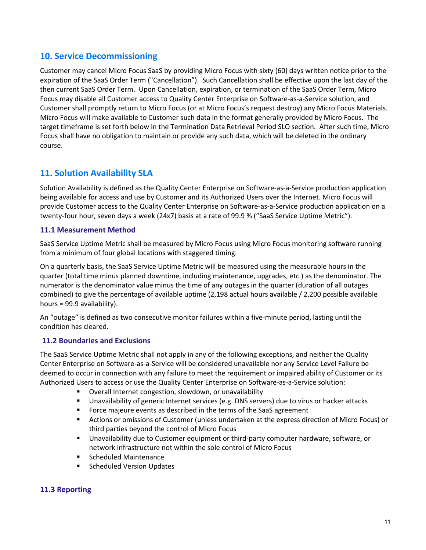## <span id="page-10-0"></span>**10. Service Decommissioning**

Customer may cancel Micro Focus SaaS by providing Micro Focus with sixty (60) days written notice prior to the expiration of the SaaS Order Term ("Cancellation"). Such Cancellation shall be effective upon the last day of the then current SaaS Order Term. Upon Cancellation, expiration, or termination of the SaaS Order Term, Micro Focus may disable all Customer access to Quality Center Enterprise on Software-as-a-Service solution, and Customer shall promptly return to Micro Focus (or at Micro Focus's request destroy) any Micro Focus Materials. Micro Focus will make available to Customer such data in the format generally provided by Micro Focus. The target timeframe is set forth below in the Termination Data Retrieval Period SLO section. After such time, Micro Focus shall have no obligation to maintain or provide any such data, which will be deleted in the ordinary course.

## <span id="page-10-1"></span>**11. Solution Availability SLA**

Solution Availability is defined as the Quality Center Enterprise on Software-as-a-Service production application being available for access and use by Customer and its Authorized Users over the Internet. Micro Focus will provide Customer access to the Quality Center Enterprise on Software-as-a-Service production application on a twenty-four hour, seven days a week (24x7) basis at a rate of 99.9 % ("SaaS Service Uptime Metric").

## **11.1 Measurement Method**

SaaS Service Uptime Metric shall be measured by Micro Focus using Micro Focus monitoring software running from a minimum of four global locations with staggered timing.

On a quarterly basis, the SaaS Service Uptime Metric will be measured using the measurable hours in the quarter (total time minus planned downtime, including maintenance, upgrades, etc.) as the denominator. The numerator is the denominator value minus the time of any outages in the quarter (duration of all outages combined) to give the percentage of available uptime (2,198 actual hours available / 2,200 possible available hours = 99.9 availability).

An "outage" is defined as two consecutive monitor failures within a five-minute period, lasting until the condition has cleared.

## **11.2 Boundaries and Exclusions**

The SaaS Service Uptime Metric shall not apply in any of the following exceptions, and neither the Quality Center Enterprise on Software-as-a-Service will be considered unavailable nor any Service Level Failure be deemed to occur in connection with any failure to meet the requirement or impaired ability of Customer or its Authorized Users to access or use the Quality Center Enterprise on Software-as-a-Service solution:

- Overall Internet congestion, slowdown, or unavailability
- Unavailability of generic Internet services (e.g. DNS servers) due to virus or hacker attacks
- **FICT** Force majeure events as described in the terms of the SaaS agreement
- Actions or omissions of Customer (unless undertaken at the express direction of Micro Focus) or third parties beyond the control of Micro Focus
- Unavailability due to Customer equipment or third-party computer hardware, software, or network infrastructure not within the sole control of Micro Focus
- Scheduled Maintenance
- **Scheduled Version Updates**

## **11.3 Reporting**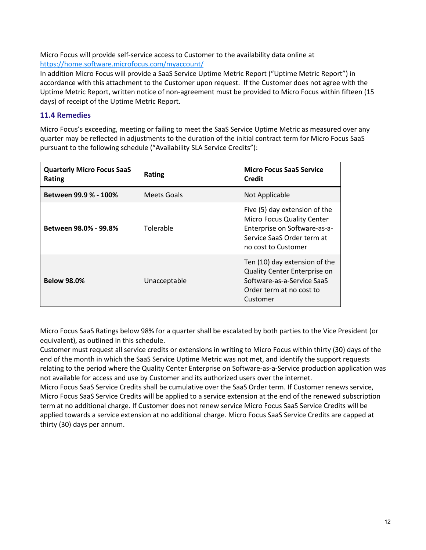Micro Focus will provide self-service access to Customer to the availability data online at <https://home.software.microfocus.com/myaccount/>

In addition Micro Focus will provide a SaaS Service Uptime Metric Report ("Uptime Metric Report") in accordance with this attachment to the Customer upon request. If the Customer does not agree with the Uptime Metric Report, written notice of non-agreement must be provided to Micro Focus within fifteen (15 days) of receipt of the Uptime Metric Report.

## **11.4 Remedies**

Micro Focus's exceeding, meeting or failing to meet the SaaS Service Uptime Metric as measured over any quarter may be reflected in adjustments to the duration of the initial contract term for Micro Focus SaaS pursuant to the following schedule ("Availability SLA Service Credits"):

| <b>Quarterly Micro Focus SaaS</b><br><b>Rating</b> | Rating       | <b>Micro Focus SaaS Service</b><br>Credit                                                                                                               |
|----------------------------------------------------|--------------|---------------------------------------------------------------------------------------------------------------------------------------------------------|
| Between 99.9 % - 100%                              | Meets Goals  | Not Applicable                                                                                                                                          |
| Between 98.0% - 99.8%                              | Tolerable    | Five (5) day extension of the<br><b>Micro Focus Quality Center</b><br>Enterprise on Software-as-a-<br>Service SaaS Order term at<br>no cost to Customer |
| <b>Below 98.0%</b>                                 | Unacceptable | Ten (10) day extension of the<br><b>Quality Center Enterprise on</b><br>Software-as-a-Service SaaS<br>Order term at no cost to<br>Customer              |

Micro Focus SaaS Ratings below 98% for a quarter shall be escalated by both parties to the Vice President (or equivalent), as outlined in this schedule.

Customer must request all service credits or extensions in writing to Micro Focus within thirty (30) days of the end of the month in which the SaaS Service Uptime Metric was not met, and identify the support requests relating to the period where the Quality Center Enterprise on Software-as-a-Service production application was not available for access and use by Customer and its authorized users over the internet.

Micro Focus SaaS Service Credits shall be cumulative over the SaaS Order term. If Customer renews service, Micro Focus SaaS Service Credits will be applied to a service extension at the end of the renewed subscription term at no additional charge. If Customer does not renew service Micro Focus SaaS Service Credits will be applied towards a service extension at no additional charge. Micro Focus SaaS Service Credits are capped at thirty (30) days per annum.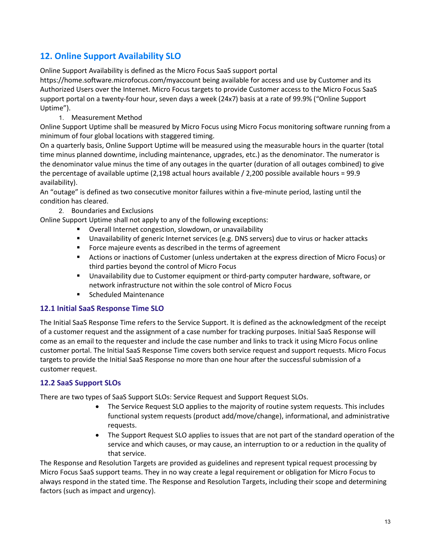## <span id="page-12-0"></span>**12. Online Support Availability SLO**

Online Support Availability is defined as the Micro Focus SaaS support portal

https://home.software.microfocus.com/myaccount being available for access and use by Customer and its Authorized Users over the Internet. Micro Focus targets to provide Customer access to the Micro Focus SaaS support portal on a twenty-four hour, seven days a week (24x7) basis at a rate of 99.9% ("Online Support Uptime").

1. Measurement Method

Online Support Uptime shall be measured by Micro Focus using Micro Focus monitoring software running from a minimum of four global locations with staggered timing.

On a quarterly basis, Online Support Uptime will be measured using the measurable hours in the quarter (total time minus planned downtime, including maintenance, upgrades, etc.) as the denominator. The numerator is the denominator value minus the time of any outages in the quarter (duration of all outages combined) to give the percentage of available uptime (2,198 actual hours available / 2,200 possible available hours = 99.9 availability).

An "outage" is defined as two consecutive monitor failures within a five-minute period, lasting until the condition has cleared.

2. Boundaries and Exclusions

Online Support Uptime shall not apply to any of the following exceptions:

- Overall Internet congestion, slowdown, or unavailability
- Unavailability of generic Internet services (e.g. DNS servers) due to virus or hacker attacks
- **Force majeure events as described in the terms of agreement**
- Actions or inactions of Customer (unless undertaken at the express direction of Micro Focus) or third parties beyond the control of Micro Focus
- Unavailability due to Customer equipment or third-party computer hardware, software, or network infrastructure not within the sole control of Micro Focus
- **Scheduled Maintenance**

## **12.1 Initial SaaS Response Time SLO**

The Initial SaaS Response Time refers to the Service Support. It is defined as the acknowledgment of the receipt of a customer request and the assignment of a case number for tracking purposes. Initial SaaS Response will come as an email to the requester and include the case number and links to track it using Micro Focus online customer portal. The Initial SaaS Response Time covers both service request and support requests. Micro Focus targets to provide the Initial SaaS Response no more than one hour after the successful submission of a customer request.

## **12.2 SaaS Support SLOs**

There are two types of SaaS Support SLOs: Service Request and Support Request SLOs.

- The Service Request SLO applies to the majority of routine system requests. This includes functional system requests (product add/move/change), informational, and administrative requests.
- The Support Request SLO applies to issues that are not part of the standard operation of the service and which causes, or may cause, an interruption to or a reduction in the quality of that service.

The Response and Resolution Targets are provided as guidelines and represent typical request processing by Micro Focus SaaS support teams. They in no way create a legal requirement or obligation for Micro Focus to always respond in the stated time. The Response and Resolution Targets, including their scope and determining factors (such as impact and urgency).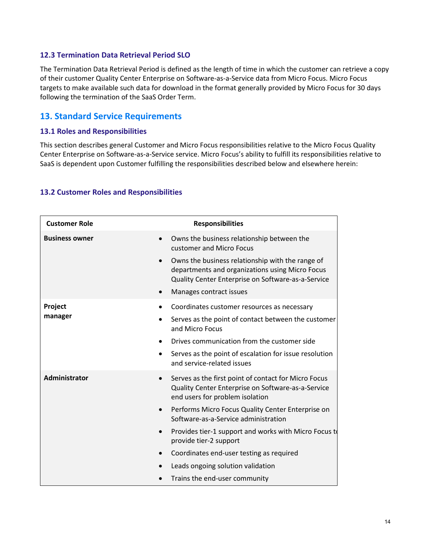#### **12.3 Termination Data Retrieval Period SLO**

The Termination Data Retrieval Period is defined as the length of time in which the customer can retrieve a copy of their customer Quality Center Enterprise on Software-as-a-Service data from Micro Focus. Micro Focus targets to make available such data for download in the format generally provided by Micro Focus for 30 days following the termination of the SaaS Order Term.

## <span id="page-13-0"></span>**13. Standard Service Requirements**

#### **13.1 Roles and Responsibilities**

This section describes general Customer and Micro Focus responsibilities relative to the Micro Focus Quality Center Enterprise on Software-as-a-Service service. Micro Focus's ability to fulfill its responsibilities relative to SaaS is dependent upon Customer fulfilling the responsibilities described below and elsewhere herein:

#### **13.2 Customer Roles and Responsibilities**

| <b>Customer Role</b>       | <b>Responsibilities</b>                                                                                                                                                              |
|----------------------------|--------------------------------------------------------------------------------------------------------------------------------------------------------------------------------------|
| <b>Business owner</b>      | Owns the business relationship between the<br>customer and Micro Focus                                                                                                               |
| $\bullet$                  | Owns the business relationship with the range of<br>departments and organizations using Micro Focus<br>Quality Center Enterprise on Software-as-a-Service<br>Manages contract issues |
| Project                    | Coordinates customer resources as necessary                                                                                                                                          |
| manager                    | Serves as the point of contact between the customer<br>and Micro Focus                                                                                                               |
|                            | Drives communication from the customer side                                                                                                                                          |
| $\bullet$                  | Serves as the point of escalation for issue resolution<br>and service-related issues                                                                                                 |
| Administrator<br>$\bullet$ | Serves as the first point of contact for Micro Focus<br>Quality Center Enterprise on Software-as-a-Service<br>end users for problem isolation                                        |
| $\bullet$                  | Performs Micro Focus Quality Center Enterprise on<br>Software-as-a-Service administration                                                                                            |
|                            | Provides tier-1 support and works with Micro Focus to<br>provide tier-2 support                                                                                                      |
|                            | Coordinates end-user testing as required                                                                                                                                             |
|                            | Leads ongoing solution validation                                                                                                                                                    |
|                            | Trains the end-user community                                                                                                                                                        |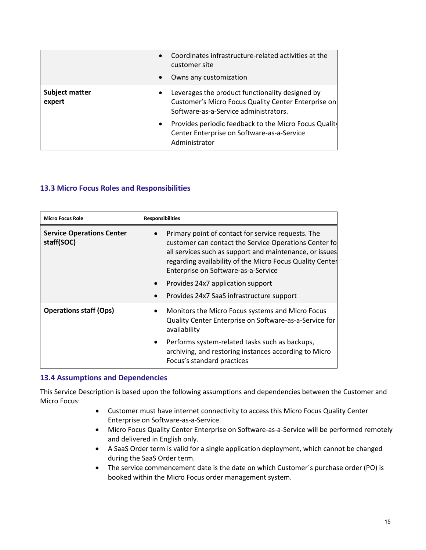| $\bullet$                                    | Coordinates infrastructure-related activities at the<br>customer site<br>Owns any customization                                                 |
|----------------------------------------------|-------------------------------------------------------------------------------------------------------------------------------------------------|
| <b>Subject matter</b><br>$\bullet$<br>expert | Leverages the product functionality designed by<br>Customer's Micro Focus Quality Center Enterprise on<br>Software-as-a-Service administrators. |
| $\bullet$                                    | Provides periodic feedback to the Micro Focus Quality<br>Center Enterprise on Software-as-a-Service<br>Administrator                            |

## **13.3 Micro Focus Roles and Responsibilities**

| <b>Micro Focus Role</b>                        | <b>Responsibilities</b>                                                                                                                                                                                                                                                                                                                                     |
|------------------------------------------------|-------------------------------------------------------------------------------------------------------------------------------------------------------------------------------------------------------------------------------------------------------------------------------------------------------------------------------------------------------------|
| <b>Service Operations Center</b><br>staff(SOC) | Primary point of contact for service requests. The<br>customer can contact the Service Operations Center fo<br>all services such as support and maintenance, or issues<br>regarding availability of the Micro Focus Quality Center<br>Enterprise on Software-as-a-Service<br>Provides 24x7 application support<br>Provides 24x7 SaaS infrastructure support |
| <b>Operations staff (Ops)</b>                  | Monitors the Micro Focus systems and Micro Focus<br>$\bullet$<br>Quality Center Enterprise on Software-as-a-Service for<br>availability<br>Performs system-related tasks such as backups,<br>archiving, and restoring instances according to Micro<br>Focus's standard practices                                                                            |

## **13.4 Assumptions and Dependencies**

This Service Description is based upon the following assumptions and dependencies between the Customer and Micro Focus:

- Customer must have internet connectivity to access this Micro Focus Quality Center Enterprise on Software-as-a-Service.
- Micro Focus Quality Center Enterprise on Software-as-a-Service will be performed remotely and delivered in English only.
- A SaaS Order term is valid for a single application deployment, which cannot be changed during the SaaS Order term.
- The service commencement date is the date on which Customer's purchase order (PO) is booked within the Micro Focus order management system.